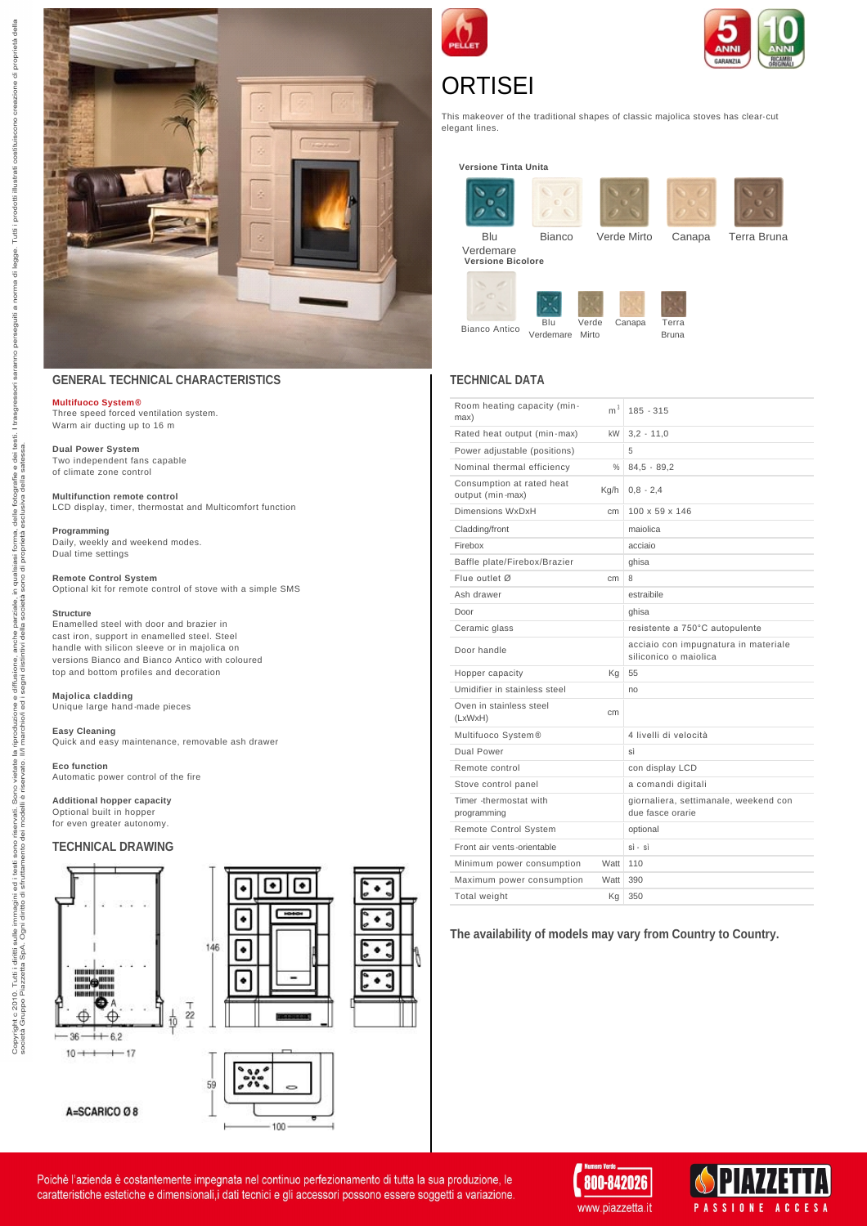

## **GENERAL TECHNICAL CHARACTERISTICS**

## **[Multifuoco System](http://www.piazzetta.it/en-US/piazzetta-system/syfeel) ®**

Three speed forced ventilation system. Warm air ducting up to 16 m

**Dual Power System** Two independent fans capable of climate zone control

**Multifunction remote control** LCD display, timer, thermostat and Multicomfort function

**Programming**

Daily, weekly and weekend modes. Dual time settings

**Remote Control System**

Optional kit for remote control of stove with a simple SMS

#### **Structure**

Enamelled steel with door and brazier in cast iron, support in enamelled steel. Steel handle with silicon sleeve or in majolica on versions Bianco and Bianco Antico with coloured top and bottom profiles and decoration

**Majolica cladding** Unique large hand -made pieces

#### **Easy Cleaning**

Quick and easy maintenance, removable ash drawer

#### **Eco function**

Automatic power control of the fire

**Additional hopper capacity**

Optional built in hopper for even greater autonomy.

#### **TECHNICAL DRAWING**







| 100 |  |
|-----|--|
|     |  |





# **ORTISEI**

This makeover of the traditional shapes of classic majolica stoves has clear- cut elegant lines.

**Versione Tinta Unita**



Canapa Terra Bruna

**TECHNICAL DATA** 

Bianco Antico

Blu Verdemare Mirto Verde

| Room heating capacity (min-<br>max)           | m <sup>3</sup> | $185 - 315$                                                   |
|-----------------------------------------------|----------------|---------------------------------------------------------------|
| Rated heat output (min-max)                   | <b>kW</b>      | $3,2 - 11,0$                                                  |
| Power adjustable (positions)                  |                | 5                                                             |
| Nominal thermal efficiency                    | $\%$           | $84.5 - 89.2$                                                 |
| Consumption at rated heat<br>output (min-max) | Kg/h           | $0.8 - 2.4$                                                   |
| Dimensions WxDxH                              | cm             | $100 \times 59 \times 146$                                    |
| Cladding/front                                |                | maiolica                                                      |
| Firebox                                       |                | acciaio                                                       |
| Baffle plate/Firebox/Brazier                  |                | ghisa                                                         |
| Flue outlet Ø                                 | cm             | 8                                                             |
| Ash drawer                                    |                | estraibile                                                    |
| Door                                          |                | ghisa                                                         |
| Ceramic glass                                 |                | resistente a 750°C autopulente                                |
| Door handle                                   |                | acciaio con impugnatura in materiale<br>siliconico o maiolica |
| Hopper capacity                               | Κq             | 55                                                            |
| Umidifier in stainless steel                  |                | no                                                            |
| Oven in stainless steel<br>(LxWxH)            | cm             |                                                               |
| Multifuoco System®                            |                | 4 livelli di velocità                                         |
| Dual Power                                    |                | sì                                                            |
| Remote control                                |                | con display LCD                                               |
| Stove control panel                           |                | a comandi digitali                                            |
| Timer -thermostat with<br>programming         |                | giornaliera, settimanale, weekend con<br>due fasce orarie     |
| Remote Control System                         |                | optional                                                      |
| Front air vents-orientable                    |                | $si - si$                                                     |
| Minimum power consumption                     | Watt           | 110                                                           |
| Maximum power consumption                     | Watt           | 390                                                           |
| Total weight                                  | Κq             | 350                                                           |
|                                               |                |                                                               |

**The availability of models may vary from Country to Country.**





Poichè l'azienda è costantemente impegnata nel continuo perfezionamento di tutta la sua produzione, le caratteristiche estetiche e dimensionali, i dati tecnici e gli accessori possono essere soggetti a variazione.

ono di pro

Jella

segni

vietate<br>arvato. Sono riservati. Son<br>ei modelli è r  $\frac{1}{2}$ sono testi<br>ttam

immagini ed i t<br>ii diritto di sfrut

i sulle im<br>A. Ogni c

Copyright c 2010. Tutti i diritti si<br>società Gruppo Piazzetta SpA.